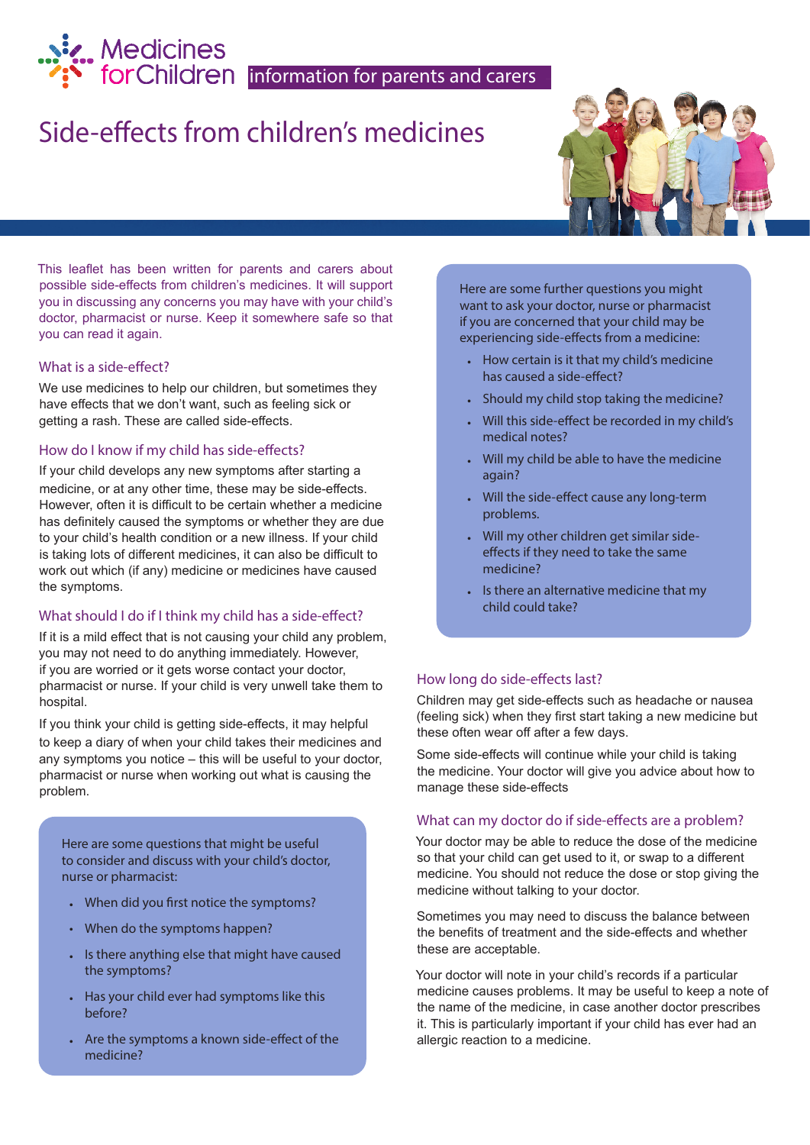# Medicines<br>
• forChildren |information for parents and carers

## Side-effects from children's medicines

This leaflet has been written for parents and carers about possible side-effects from children's medicines. It will support you in discussing any concerns you may have with your child's doctor, pharmacist or nurse. Keep it somewhere safe so that you can read it again.

#### What is a side-effect?

We use medicines to help our children, but sometimes they have effects that we don't want, such as feeling sick or getting a rash. These are called side-effects.

#### How do I know if my child has side-effects?

If your child develops any new symptoms after starting a medicine, or at any other time, these may be side-effects. However, often it is difficult to be certain whether a medicine has definitely caused the symptoms or whether they are due to your child's health condition or a new illness. If your child is taking lots of different medicines, it can also be difficult to work out which (if any) medicine or medicines have caused the symptoms.

#### What should I do if I think my child has a side-effect?

If it is a mild effect that is not causing your child any problem, you may not need to do anything immediately. However, if you are worried or it gets worse contact your doctor, pharmacist or nurse. If your child is very unwell take them to hospital.

If you think your child is getting side-effects, it may helpful to keep a diary of when your child takes their medicines and any symptoms you notice – this will be useful to your doctor, pharmacist or nurse when working out what is causing the problem.

Here are some questions that might be useful to consider and discuss with your child's doctor, nurse or pharmacist:

- When did you first notice the symptoms?
- When do the symptoms happen?
- Is there anything else that might have caused the symptoms?
- Has your child ever had symptoms like this before?
- Are the symptoms a known side-effect of the medicine?

Here are some further questions you might want to ask your doctor, nurse or pharmacist if you are concerned that your child may be experiencing side-effects from a medicine:

- How certain is it that my child's medicine has caused a side-effect?
- Should my child stop taking the medicine?
- Will this side-effect be recorded in my child's medical notes?
- Will my child be able to have the medicine again?
- Will the side-effect cause any long-term problems.
- Will my other children get similar sideeffects if they need to take the same medicine?
- Is there an alternative medicine that my child could take?

#### How long do side-effects last?

Children may get side-effects such as headache or nausea (feeling sick) when they first start taking a new medicine but these often wear off after a few days.

Some side-effects will continue while your child is taking the medicine. Your doctor will give you advice about how to manage these side-effects

#### What can my doctor do if side-effects are a problem?

Your doctor may be able to reduce the dose of the medicine so that your child can get used to it, or swap to a different medicine. You should not reduce the dose or stop giving the medicine without talking to your doctor.

Sometimes you may need to discuss the balance between the benefits of treatment and the side-effects and whether these are acceptable.

Your doctor will note in your child's records if a particular medicine causes problems. It may be useful to keep a note of the name of the medicine, in case another doctor prescribes it. This is particularly important if your child has ever had an allergic reaction to a medicine.